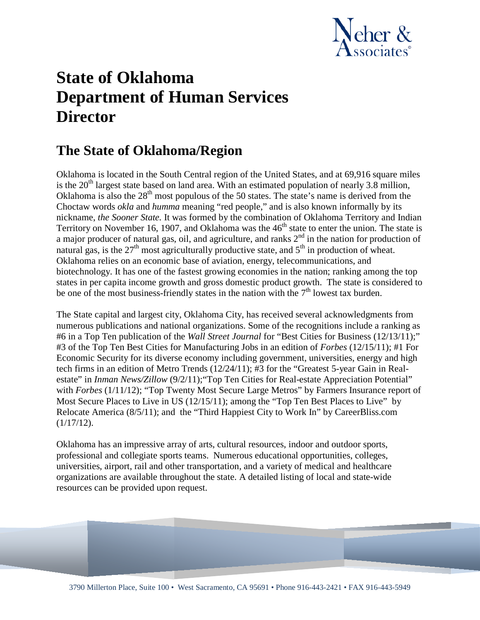

# **State of Oklahoma Department of Human Services Director**

### **The State of Oklahoma/Region**

Oklahoma is located in the South Central region of the United States, and at 69,916 square miles is the  $20<sup>th</sup>$  largest state based on land area. With an estimated population of nearly 3.8 million, Oklahoma is also the  $28<sup>th</sup>$  most populous of the 50 states. The state's name is derived from the Choctaw words *okla* and *humma* meaning "red people," and is also known informally by its nickname, *the Sooner State.* It was formed by the combination of Oklahoma Territory and Indian Territory on November 16, 1907, and Oklahoma was the 46<sup>th</sup> state to enter the union. The state is a major producer of natural gas, oil, and agriculture, and ranks  $2<sup>nd</sup>$  in the nation for production of natural gas, is the  $27<sup>th</sup>$  most agriculturally productive state, and  $5<sup>th</sup>$  in production of wheat. Oklahoma relies on an economic base of aviation, energy, telecommunications, and biotechnology. It has one of the fastest growing economies in the nation; ranking among the top states in per capita income growth and gross domestic product growth. The state is considered to be one of the most business-friendly states in the nation with the  $7<sup>th</sup>$  lowest tax burden.

The State capital and largest city, Oklahoma City, has received several acknowledgments from numerous publications and national organizations. Some of the recognitions include a ranking as #6 in a Top Ten publication of the *Wall Street Journal* for "Best Cities for Business (12/13/11);" #3 of the Top Ten Best Cities for Manufacturing Jobs in an edition of *Forbes* (12/15/11); #1 For Economic Security for its diverse economy including government, universities, energy and high tech firms in an edition of Metro Trends (12/24/11); #3 for the "Greatest 5-year Gain in Realestate" in *Inman News/Zillow* (9/2/11); "Top Ten Cities for Real-estate Appreciation Potential" with *Forbes* (1/11/12); "Top Twenty Most Secure Large Metros" by Farmers Insurance report of Most Secure Places to Live in US (12/15/11); among the "Top Ten Best Places to Live" by Relocate America (8/5/11); and the "Third Happiest City to Work In" by CareerBliss.com  $(1/17/12)$ .

Oklahoma has an impressive array of arts, cultural resources, indoor and outdoor sports, professional and collegiate sports teams. Numerous educational opportunities, colleges, universities, airport, rail and other transportation, and a variety of medical and healthcare organizations are available throughout the state. A detailed listing of local and state-wide resources can be provided upon request.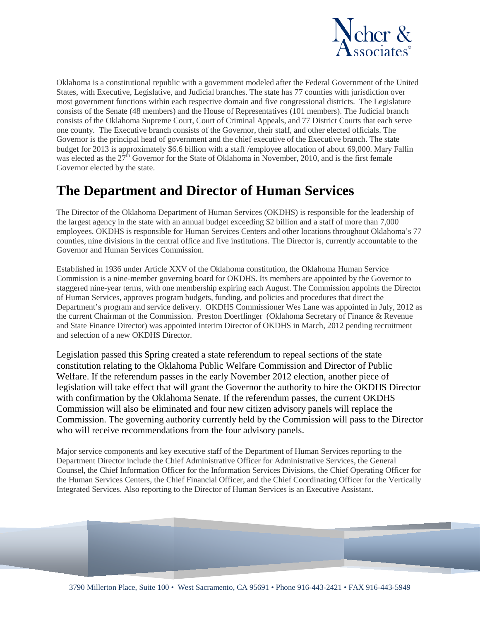

Oklahoma is a constitutional republic with a government modeled after the Federal Government of the United States, with Executive, Legislative, and Judicial branches. The state has 77 counties with jurisdiction over most government functions within each respective domain and five congressional districts. The Legislature consists of the Senate (48 members) and the House of Representatives (101 members). The Judicial branch consists of the Oklahoma Supreme Court, Court of Criminal Appeals, and 77 District Courts that each serve one county. The Executive branch consists of the Governor, their staff, and other elected officials. The Governor is the principal head of government and the chief executive of the Executive branch. The state budget for 2013 is approximately \$6.6 billion with a staff /employee allocation of about 69,000. Mary Fallin was elected as the  $27<sup>th</sup>$  Governor for the State of Oklahoma in November, 2010, and is the first female Governor elected by the state.

### **The Department and Director of Human Services**

The Director of the Oklahoma Department of Human Services (OKDHS) is responsible for the leadership of the largest agency in the state with an annual budget exceeding \$2 billion and a staff of more than 7,000 employees. OKDHS is responsible for Human Services Centers and other locations throughout Oklahoma's 77 counties, nine divisions in the central office and five institutions. The Director is, currently accountable to the Governor and Human Services Commission.

Established in 1936 under Article XXV of the Oklahoma constitution, the Oklahoma Human Service Commission is a nine-member governing board for OKDHS. Its members are appointed by the Governor to staggered nine-year terms, with one membership expiring each August. The Commission appoints the Director of Human Services, approves program budgets, funding, and policies and procedures that direct the Department's program and service delivery. OKDHS Commissioner Wes Lane was appointed in July, 2012 as the current Chairman of the Commission. Preston Doerflinger (Oklahoma Secretary of Finance & Revenue and State Finance Director) was appointed interim Director of OKDHS in March, 2012 pending recruitment and selection of a new OKDHS Director.

Legislation passed this Spring created a state referendum to repeal sections of the state constitution relating to the Oklahoma Public Welfare Commission and Director of Public Welfare. If the referendum passes in the early November 2012 election, another piece of legislation will take effect that will grant the Governor the authority to hire the OKDHS Director with confirmation by the Oklahoma Senate. If the referendum passes, the current OKDHS Commission will also be eliminated and four new citizen advisory panels will replace the Commission. The governing authority currently held by the Commission will pass to the Director who will receive recommendations from the four advisory panels.

Major service components and key executive staff of the Department of Human Services reporting to the Department Director include the Chief Administrative Officer for Administrative Services, the General Counsel, the Chief Information Officer for the Information Services Divisions, the Chief Operating Officer for the Human Services Centers, the Chief Financial Officer, and the Chief Coordinating Officer for the Vertically Integrated Services. Also reporting to the Director of Human Services is an Executive Assistant.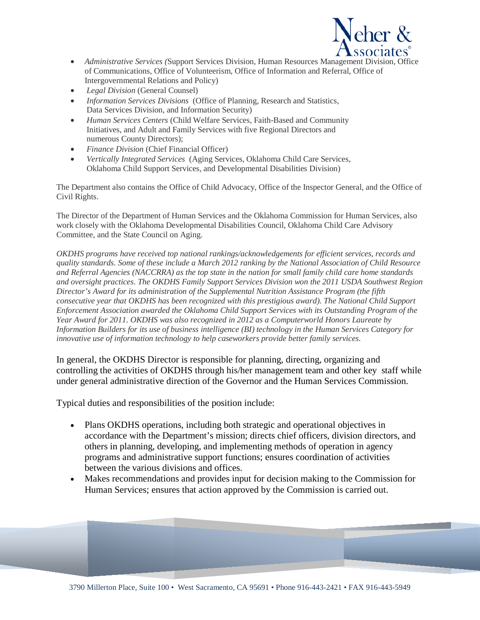

- *Administrative Services (*Support Services Division, Human Resources Management Division, Office of Communications, Office of Volunteerism, Office of Information and Referral, Office of Intergovernmental Relations and Policy)
- *Legal Division* (General Counsel)
- *Information Services Divisions* (Office of Planning, Research and Statistics, Data Services Division, and Information Security)
- *Human Services Centers* (Child Welfare Services, Faith-Based and Community Initiatives, and Adult and Family Services with five Regional Directors and numerous County Directors);
- *Finance Division* (Chief Financial Officer)
- *Vertically Integrated Services* (Aging Services, Oklahoma Child Care Services, Oklahoma Child Support Services, and Developmental Disabilities Division)

The Department also contains the Office of Child Advocacy, Office of the Inspector General, and the Office of Civil Rights.

The Director of the Department of Human Services and the Oklahoma Commission for Human Services, also work closely with the Oklahoma Developmental Disabilities Council, Oklahoma Child Care Advisory Committee, and the State Council on Aging.

*OKDHS programs have received top national rankings/acknowledgements for efficient services, records and quality standards. Some of these include a March 2012 ranking by the National Association of Child Resource and Referral Agencies (NACCRRA) as the top state in the nation for small family child care home standards and oversight practices. The OKDHS Family Support Services Division won the 2011 USDA Southwest Region Director's Award for its administration of the Supplemental Nutrition Assistance Program (the fifth consecutive year that OKDHS has been recognized with this prestigious award). The National Child Support Enforcement Association awarded the Oklahoma Child Support Services with its Outstanding Program of the Year Award for 2011. OKDHS was also recognized in 2012 as a Computerworld Honors Laureate by Information Builders for its use of business intelligence (BI) technology in the Human Services Category for innovative use of information technology to help caseworkers provide better family services.*

In general, the OKDHS Director is responsible for planning, directing, organizing and controlling the activities of OKDHS through his/her management team and other key staff while under general administrative direction of the Governor and the Human Services Commission.

Typical duties and responsibilities of the position include:

- Plans OKDHS operations, including both strategic and operational objectives in accordance with the Department's mission; directs chief officers, division directors, and others in planning, developing, and implementing methods of operation in agency programs and administrative support functions; ensures coordination of activities between the various divisions and offices.
- Makes recommendations and provides input for decision making to the Commission for Human Services; ensures that action approved by the Commission is carried out.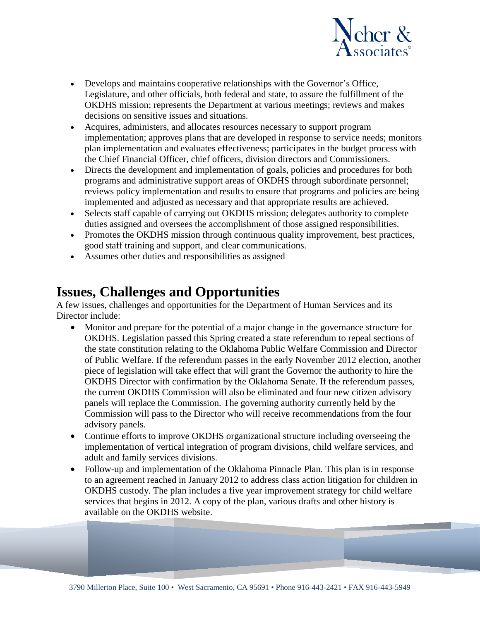

- Develops and maintains cooperative relationships with the Governor's Office, Legislature, and other officials, both federal and state, to assure the fulfillment of the OKDHS mission; represents the Department at various meetings; reviews and makes decisions on sensitive issues and situations.
- Acquires, administers, and allocates resources necessary to support program implementation; approves plans that are developed in response to service needs; monitors plan implementation and evaluates effectiveness; participates in the budget process with the Chief Financial Officer, chief officers, division directors and Commissioners.
- Directs the development and implementation of goals, policies and procedures for both programs and administrative support areas of OKDHS through subordinate personnel; reviews policy implementation and results to ensure that programs and policies are being implemented and adjusted as necessary and that appropriate results are achieved.
- Selects staff capable of carrying out OKDHS mission; delegates authority to complete duties assigned and oversees the accomplishment of those assigned responsibilities.
- Promotes the OKDHS mission through continuous quality improvement, best practices, good staff training and support, and clear communications.
- Assumes other duties and responsibilities as assigned

### **Issues, Challenges and Opportunities**

A few issues, challenges and opportunities for the Department of Human Services and its Director include:

- Monitor and prepare for the potential of a major change in the governance structure for OKDHS. Legislation passed this Spring created a state referendum to repeal sections of the state constitution relating to the Oklahoma Public Welfare Commission and Director of Public Welfare. If the referendum passes in the early November 2012 election, another piece of legislation will take effect that will grant the Governor the authority to hire the OKDHS Director with confirmation by the Oklahoma Senate. If the referendum passes, the current OKDHS Commission will also be eliminated and four new citizen advisory panels will replace the Commission. The governing authority currently held by the Commission will pass to the Director who will receive recommendations from the four advisory panels.
- Continue efforts to improve OKDHS organizational structure including overseeing the implementation of vertical integration of program divisions, child welfare services, and adult and family services divisions.
- Follow-up and implementation of the Oklahoma Pinnacle Plan. This plan is in response to an agreement reached in January 2012 to address class action litigation for children in OKDHS custody. The plan includes a five year improvement strategy for child welfare services that begins in 2012. A copy of the plan, various drafts and other history is available on the OKDHS website.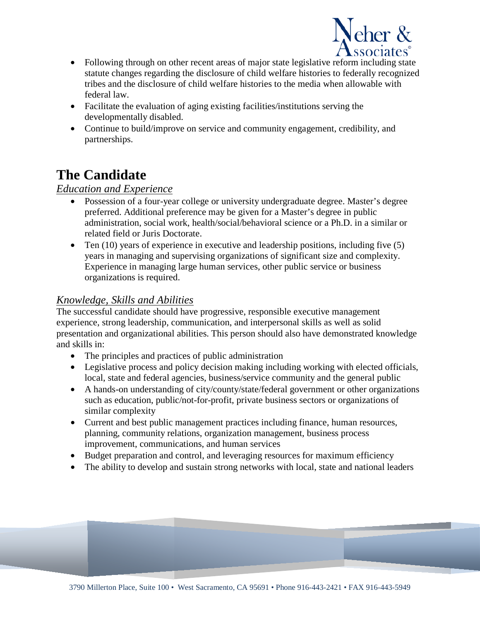

- Following through on other recent areas of major state legislative reform including state statute changes regarding the disclosure of child welfare histories to federally recognized tribes and the disclosure of child welfare histories to the media when allowable with federal law.
- Facilitate the evaluation of aging existing facilities/institutions serving the developmentally disabled.
- Continue to build/improve on service and community engagement, credibility, and partnerships.

## **The Candidate**

#### *Education and Experience*

- Possession of a four-year college or university undergraduate degree. Master's degree preferred. Additional preference may be given for a Master's degree in public administration, social work, health/social/behavioral science or a Ph.D. in a similar or related field or Juris Doctorate.
- Ten  $(10)$  years of experience in executive and leadership positions, including five  $(5)$ years in managing and supervising organizations of significant size and complexity. Experience in managing large human services, other public service or business organizations is required.

#### *Knowledge, Skills and Abilities*

The successful candidate should have progressive, responsible executive management experience, strong leadership, communication, and interpersonal skills as well as solid presentation and organizational abilities. This person should also have demonstrated knowledge and skills in:

- The principles and practices of public administration
- Legislative process and policy decision making including working with elected officials, local, state and federal agencies, business/service community and the general public
- A hands-on understanding of city/county/state/federal government or other organizations such as education, public/not-for-profit, private business sectors or organizations of similar complexity
- Current and best public management practices including finance, human resources, planning, community relations, organization management, business process improvement, communications, and human services
- Budget preparation and control, and leveraging resources for maximum efficiency
- The ability to develop and sustain strong networks with local, state and national leaders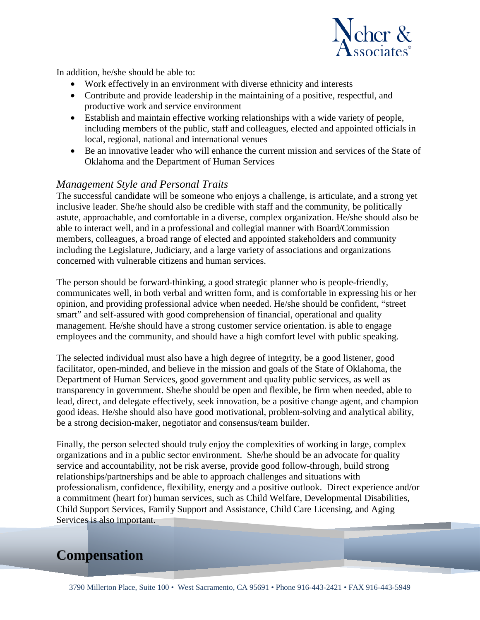

In addition, he/she should be able to:

- Work effectively in an environment with diverse ethnicity and interests
- Contribute and provide leadership in the maintaining of a positive, respectful, and productive work and service environment
- Establish and maintain effective working relationships with a wide variety of people, including members of the public, staff and colleagues, elected and appointed officials in local, regional, national and international venues
- Be an innovative leader who will enhance the current mission and services of the State of Oklahoma and the Department of Human Services

#### *Management Style and Personal Traits*

The successful candidate will be someone who enjoys a challenge, is articulate, and a strong yet inclusive leader. She/he should also be credible with staff and the community, be politically astute, approachable, and comfortable in a diverse, complex organization. He/she should also be able to interact well, and in a professional and collegial manner with Board/Commission members, colleagues, a broad range of elected and appointed stakeholders and community including the Legislature, Judiciary, and a large variety of associations and organizations concerned with vulnerable citizens and human services.

The person should be forward-thinking, a good strategic planner who is people-friendly, communicates well, in both verbal and written form, and is comfortable in expressing his or her opinion, and providing professional advice when needed. He/she should be confident, "street smart" and self-assured with good comprehension of financial, operational and quality management. He/she should have a strong customer service orientation. is able to engage employees and the community, and should have a high comfort level with public speaking.

The selected individual must also have a high degree of integrity, be a good listener, good facilitator, open-minded, and believe in the mission and goals of the State of Oklahoma, the Department of Human Services, good government and quality public services, as well as transparency in government. She/he should be open and flexible, be firm when needed, able to lead, direct, and delegate effectively, seek innovation, be a positive change agent, and champion good ideas. He/she should also have good motivational, problem-solving and analytical ability, be a strong decision-maker, negotiator and consensus/team builder.

Finally, the person selected should truly enjoy the complexities of working in large, complex organizations and in a public sector environment. She/he should be an advocate for quality service and accountability, not be risk averse, provide good follow-through, build strong relationships/partnerships and be able to approach challenges and situations with professionalism, confidence, flexibility, energy and a positive outlook. Direct experience and/or a commitment (heart for) human services, such as Child Welfare, Developmental Disabilities, Child Support Services, Family Support and Assistance, Child Care Licensing, and Aging Services is also important.

### **Compensation**